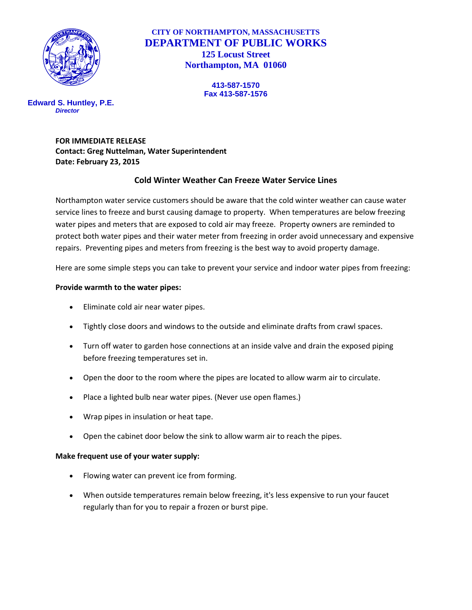

# **CITY OF NORTHAMPTON, MASSACHUSETTS DEPARTMENT OF PUBLIC WORKS 125 Locust Street Northampton, MA 01060**

**413-587-1570 Fax 413-587-1576**

**Edward S. Huntley, P.E.** *Director*

> **FOR IMMEDIATE RELEASE Contact: Greg Nuttelman, Water Superintendent Date: February 23, 2015**

# **Cold Winter Weather Can Freeze Water Service Lines**

Northampton water service customers should be aware that the cold winter weather can cause water service lines to freeze and burst causing damage to property. When temperatures are below freezing water pipes and meters that are exposed to cold air may freeze. Property owners are reminded to protect both water pipes and their water meter from freezing in order avoid unnecessary and expensive repairs. Preventing pipes and meters from freezing is the best way to avoid property damage.

Here are some simple steps you can take to prevent your service and indoor water pipes from freezing:

## **Provide warmth to the water pipes:**

- Eliminate cold air near water pipes.
- Tightly close doors and windows to the outside and eliminate drafts from crawl spaces.
- Turn off water to garden hose connections at an inside valve and drain the exposed piping before freezing temperatures set in.
- Open the door to the room where the pipes are located to allow warm air to circulate.
- Place a lighted bulb near water pipes. (Never use open flames.)
- Wrap pipes in insulation or heat tape.
- Open the cabinet door below the sink to allow warm air to reach the pipes.

### **Make frequent use of your water supply:**

- Flowing water can prevent ice from forming.
- When outside temperatures remain below freezing, it's less expensive to run your faucet regularly than for you to repair a frozen or burst pipe.